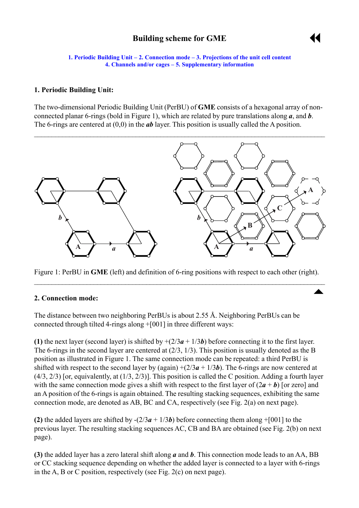# **Building scheme for GME**



 $\overline{\phantom{a}}$ 

<span id="page-0-0"></span>**1. Periodic Building Unit – 2. Connection mode – [3. Projections of the unit cell content](#page-2-0) [4. Channels and/or cages](#page-2-0) ñ [5. Supplementary information](#page-3-0)**

### **1. Periodic Building Unit:**

The two-dimensional Periodic Building Unit (PerBU) of **GME** consists of a hexagonal array of nonconnected planar 6-rings (bold in Figure 1), which are related by pure translations along *a*, and *b*. The 6-rings are centered at (0,0) in the *ab* layer. This position is usually called the A position.



Figure 1: PerBU in **GME** (left) and definition of 6-ring positions with respect to each other (right).  $\mathcal{L}_\mathcal{L} = \{ \mathcal{L}_\mathcal{L} = \{ \mathcal{L}_\mathcal{L} = \{ \mathcal{L}_\mathcal{L} = \{ \mathcal{L}_\mathcal{L} = \{ \mathcal{L}_\mathcal{L} = \{ \mathcal{L}_\mathcal{L} = \{ \mathcal{L}_\mathcal{L} = \{ \mathcal{L}_\mathcal{L} = \{ \mathcal{L}_\mathcal{L} = \{ \mathcal{L}_\mathcal{L} = \{ \mathcal{L}_\mathcal{L} = \{ \mathcal{L}_\mathcal{L} = \{ \mathcal{L}_\mathcal{L} = \{ \mathcal{L}_\mathcal{$ 

#### **2. Connection mode:**

The distance between two neighboring PerBUs is about 2.55 Å. Neighboring PerBUs can be connected through tilted 4-rings along +[001] in three different ways:

**(1)** the next layer (second layer) is shifted by  $+(2/3a + 1/3b)$  before connecting it to the first layer. The 6-rings in the second layer are centered at (2/3, 1/3). This position is usually denoted as the B position as illustrated in Figure 1. The same connection mode can be repeated: a third PerBU is shifted with respect to the second layer by (again)  $+(2/3a + 1/3b)$ . The 6-rings are now centered at  $(4/3, 2/3)$  [or, equivalently, at  $(1/3, 2/3)$ ]. This position is called the C position. Adding a fourth layer with the same connection mode gives a shift with respect to the first layer of  $(2a + b)$  [or zero] and an A position of the 6-rings is again obtained. The resulting stacking sequences, exhibiting the same connection mode, are denoted as AB, BC and CA, respectively (see Fig. 2(a) on next page).

**(2)** the added layers are shifted by  $-(2/3a + 1/3b)$  before connecting them along  $+[001]$  to the previous layer. The resulting stacking sequences AC, CB and BA are obtained (see Fig. 2(b) on next page).

**(3)** the added layer has a zero lateral shift along *a* and *b*. This connection mode leads to an AA, BB or CC stacking sequence depending on whether the added layer is connected to a layer with 6-rings in the A, B or C position, respectively (see Fig. 2(c) on next page).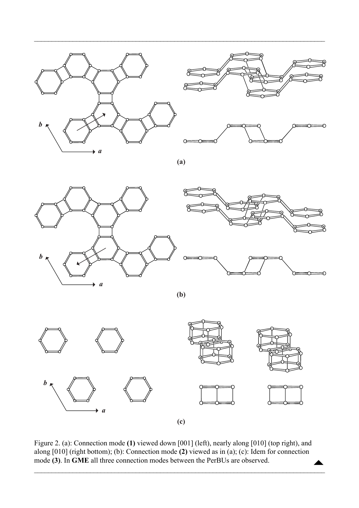



**(a)**

 $\mathcal{L}_\mathcal{L} = \{ \mathcal{L}_\mathcal{L} = \{ \mathcal{L}_\mathcal{L} = \{ \mathcal{L}_\mathcal{L} = \{ \mathcal{L}_\mathcal{L} = \{ \mathcal{L}_\mathcal{L} = \{ \mathcal{L}_\mathcal{L} = \{ \mathcal{L}_\mathcal{L} = \{ \mathcal{L}_\mathcal{L} = \{ \mathcal{L}_\mathcal{L} = \{ \mathcal{L}_\mathcal{L} = \{ \mathcal{L}_\mathcal{L} = \{ \mathcal{L}_\mathcal{L} = \{ \mathcal{L}_\mathcal{L} = \{ \mathcal{L}_\mathcal{$ 



**(b)**



Figure 2. (a): Connection mode **(1)** viewed down [001] (left), nearly along [010] (top right), and along [010] (right bottom); (b): Connection mode **(2)** viewed as in (a); (c): Idem for connection mode (3). In **GME** all three connection modes between the PerBUs are observed.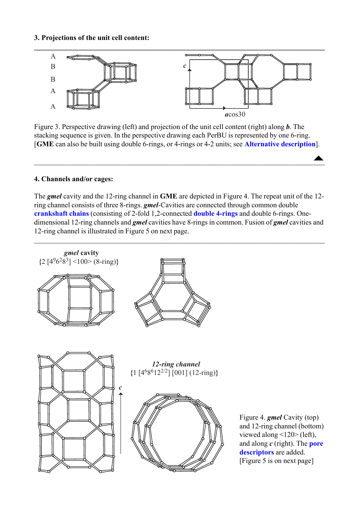## <span id="page-2-0"></span>**3. Projections of the unit cell content:**



Figure 3. Perspective drawing (left) and projection of the unit cell content (right) along *b*. The stacking sequence is given. In the perspective drawing each PerBU is represented by one 6-ring. [**GME** can also be built using double 6-rings, or 4-rings or 4-2 units; see **[Alternative description](#page-3-0)**].

 $\blacktriangle$  and the contract of the contract of the contract of the contract of the contract of the contract of the contract of the contract of the contract of the contract of the contract of the contract of the contract of the

 $\triangle$ 

## **4. Channels and/or cages:**

The *gmel* cavity and the 12-ring channel in **GME** are depicted in Figure 4. The repeat unit of the 12 ring channel consists of three 8-rings. *gmel*-Cavities are connected through common double **[crankshaft chains](#page-3-0)** (consisting of 2-fold 1,2-connected **[double 4-rings](#page-4-0)** and double 6-rings. Onedimensional 12-ring channels and *gmel* cavities have 8-rings in common. Fusion of *gmel* cavities and 12-ring channel is illustrated in Figure 5 on next page.

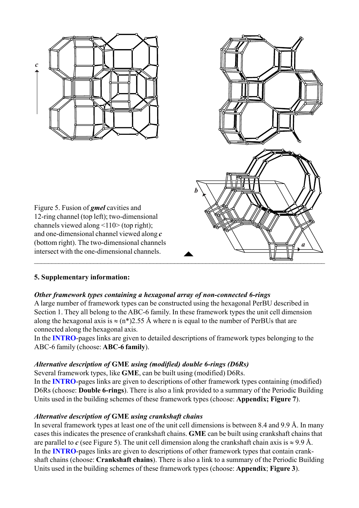<span id="page-3-0"></span>

Figure 5. Fusion of *gmel* cavities and 12-ring channel (top left); two-dimensional channels viewed along <110> (top right); and one-dimensional channel viewed along *c* (bottom right). The two-dimensional channels intersect with the one-dimensional channels.



## **5. Supplementary information:**

#### *Other framework types containing a hexagonal array of non-connected 6-rings*

A large number of framework types can be constructed using the hexagonal PerBU described in Section 1. They all belong to the ABC-6 family. In these framework types the unit cell dimension along the hexagonal axis is  $\approx$  (n<sup>\*</sup>)2.55 Å where n is equal to the number of PerBUs that are connected along the hexagonal axis.

In the **[INTRO](http://www.iza-structure.org/databases/ModelBuilding/Introduction.pdf)**-pages links are given to detailed descriptions of framework types belonging to the ABC-6 family (choose: **ABC-6 family**).

#### *Alternative description of* **GME** *using (modified) double 6-rings (D6Rs)*

Several framework types, like **GME**, can be built using (modified) D6Rs. In the **[INTRO](http://www.iza-structure.org/databases/ModelBuilding/Introduction.pdf)**-pages links are given to descriptions of other framework types containing (modified) D6Rs (choose: **Double 6-rings**). There is also a link provided to a summary of the Periodic Building Units used in the building schemes of these framework types (choose: **Appendix; Figure 7**).

#### *Alternative description of* **GME** *using crankshaft chains*

In several framework types at least one of the unit cell dimensions is between 8.4 and 9.9 Å. In many cases this indicates the presence of crankshaft chains. **GME** can be built using crankshaft chains that are parallel to *c* (see Figure 5). The unit cell dimension along the crankshaft chain axis is  $\approx$  9.9 Å. In the **[INTRO](http://www.iza-structure.org/databases/ModelBuilding/Introduction.pdf)**-pages links are given to descriptions of other framework types that contain crankshaft chains (choose: **Crankshaft chains**). There is also a link to a summary of the Periodic Building Units used in the building schemes of these framework types (choose: **Appendix**; **Figure 3**).